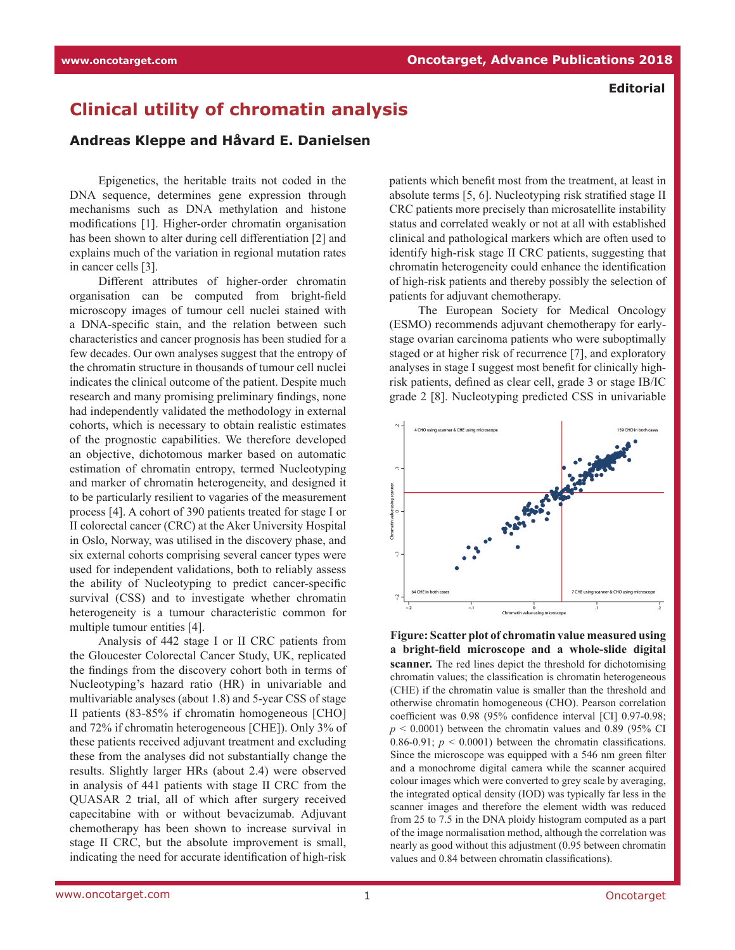## **Clinical utility of chromatin analysis**

## **Andreas Kleppe and Håvard E. Danielsen**

Epigenetics, the heritable traits not coded in the DNA sequence, determines gene expression through mechanisms such as DNA methylation and histone modifications [1]. Higher-order chromatin organisation has been shown to alter during cell differentiation [2] and explains much of the variation in regional mutation rates in cancer cells [3].

Different attributes of higher-order chromatin organisation can be computed from bright-field microscopy images of tumour cell nuclei stained with a DNA-specific stain, and the relation between such characteristics and cancer prognosis has been studied for a few decades. Our own analyses suggest that the entropy of the chromatin structure in thousands of tumour cell nuclei indicates the clinical outcome of the patient. Despite much research and many promising preliminary findings, none had independently validated the methodology in external cohorts, which is necessary to obtain realistic estimates of the prognostic capabilities. We therefore developed an objective, dichotomous marker based on automatic estimation of chromatin entropy, termed Nucleotyping and marker of chromatin heterogeneity, and designed it to be particularly resilient to vagaries of the measurement process [4]. A cohort of 390 patients treated for stage I or II colorectal cancer (CRC) at the Aker University Hospital in Oslo, Norway, was utilised in the discovery phase, and six external cohorts comprising several cancer types were used for independent validations, both to reliably assess the ability of Nucleotyping to predict cancer-specific survival (CSS) and to investigate whether chromatin heterogeneity is a tumour characteristic common for multiple tumour entities [4].

Analysis of 442 stage I or II CRC patients from the Gloucester Colorectal Cancer Study, UK, replicated the findings from the discovery cohort both in terms of Nucleotyping's hazard ratio (HR) in univariable and multivariable analyses (about 1.8) and 5-year CSS of stage II patients (83-85% if chromatin homogeneous [CHO] and 72% if chromatin heterogeneous [CHE]). Only 3% of these patients received adjuvant treatment and excluding these from the analyses did not substantially change the results. Slightly larger HRs (about 2.4) were observed in analysis of 441 patients with stage II CRC from the QUASAR 2 trial, all of which after surgery received capecitabine with or without bevacizumab. Adjuvant chemotherapy has been shown to increase survival in stage II CRC, but the absolute improvement is small, indicating the need for accurate identification of high-risk patients which benefit most from the treatment, at least in absolute terms [5, 6]. Nucleotyping risk stratified stage II CRC patients more precisely than microsatellite instability status and correlated weakly or not at all with established clinical and pathological markers which are often used to identify high-risk stage II CRC patients, suggesting that chromatin heterogeneity could enhance the identification of high-risk patients and thereby possibly the selection of patients for adjuvant chemotherapy.

The European Society for Medical Oncology (ESMO) recommends adjuvant chemotherapy for earlystage ovarian carcinoma patients who were suboptimally staged or at higher risk of recurrence [7], and exploratory analyses in stage I suggest most benefit for clinically highrisk patients, defined as clear cell, grade 3 or stage IB/IC grade 2 [8]. Nucleotyping predicted CSS in univariable



**Figure: Scatter plot of chromatin value measured using a bright-field microscope and a whole-slide digital scanner.** The red lines depict the threshold for dichotomising chromatin values; the classification is chromatin heterogeneous (CHE) if the chromatin value is smaller than the threshold and otherwise chromatin homogeneous (CHO). Pearson correlation coefficient was 0.98 (95% confidence interval [CI] 0.97-0.98;  $p \le 0.0001$ ) between the chromatin values and 0.89 (95% CI 0.86-0.91;  $p < 0.0001$ ) between the chromatin classifications. Since the microscope was equipped with a 546 nm green filter and a monochrome digital camera while the scanner acquired colour images which were converted to grey scale by averaging, the integrated optical density (IOD) was typically far less in the scanner images and therefore the element width was reduced from 25 to 7.5 in the DNA ploidy histogram computed as a part of the image normalisation method, although the correlation was nearly as good without this adjustment (0.95 between chromatin values and 0.84 between chromatin classifications).